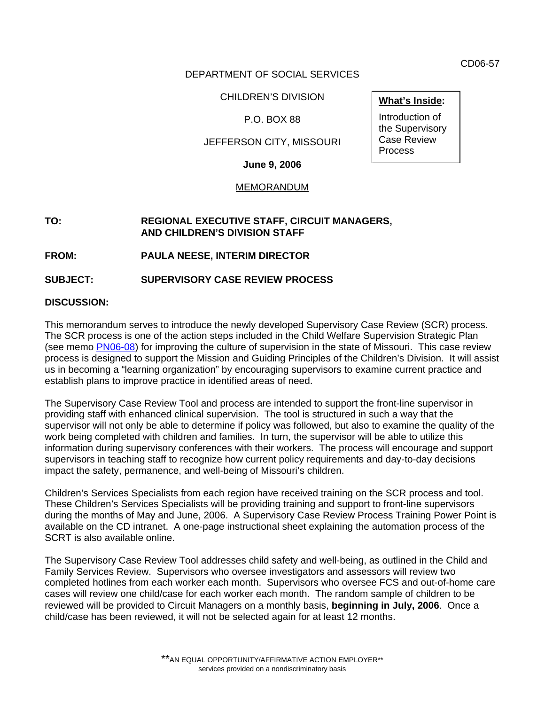CD06-57

**What's Inside:**  Introduction of the Supervisory Case Review Process

## DEPARTMENT OF SOCIAL SERVICES

CHILDREN'S DIVISION

# P.O. BOX 88

# JEFFERSON CITY, MISSOURI

**June 9, 2006** 

#### MEMORANDUM

#### **TO: REGIONAL EXECUTIVE STAFF, CIRCUIT MANAGERS, AND CHILDREN'S DIVISION STAFF**

**FROM: PAULA NEESE, INTERIM DIRECTOR** 

**SUBJECT: [SUPERVISORY CASE REVIEW PROCESS](http://dssweb/cs/sup_case_rev_process/index.shtml)**

## **DISCUSSION:**

This memorandum serves to introduce the newly developed Supervisory Case Review (SCR) process. The SCR process is one of the action steps included in the Child Welfare Supervision Strategic Plan (see memo [PN06-08\)](http://dssweb/cs/memos/director/2006/8/pn0608.pdf) for improving the culture of supervision in the state of Missouri. This case review process is designed to support the Mission and Guiding Principles of the Children's Division. It will assist us in becoming a "learning organization" by encouraging supervisors to examine current practice and establish plans to improve practice in identified areas of need.

The Supervisory Case Review Tool and process are intended to support the front-line supervisor in providing staff with enhanced clinical supervision. The tool is structured in such a way that the supervisor will not only be able to determine if policy was followed, but also to examine the quality of the work being completed with children and families. In turn, the supervisor will be able to utilize this information during supervisory conferences with their workers. The process will encourage and support supervisors in teaching staff to recognize how current policy requirements and day-to-day decisions impact the safety, permanence, and well-being of Missouri's children.

Children's Services Specialists from each region have received training on the SCR process and tool. These Children's Services Specialists will be providing training and support to front-line supervisors during the months of May and June, 2006. A Supervisory Case Review Process Training Power Point is available on the CD intranet. A one-page instructional sheet explaining the automation process of the SCRT is also available online.

The Supervisory Case Review Tool addresses child safety and well-being, as outlined in the Child and Family Services Review. Supervisors who oversee investigators and assessors will review two completed hotlines from each worker each month. Supervisors who oversee FCS and out-of-home care cases will review one child/case for each worker each month. The random sample of children to be reviewed will be provided to Circuit Managers on a monthly basis, **beginning in July, 2006**. Once a child/case has been reviewed, it will not be selected again for at least 12 months.